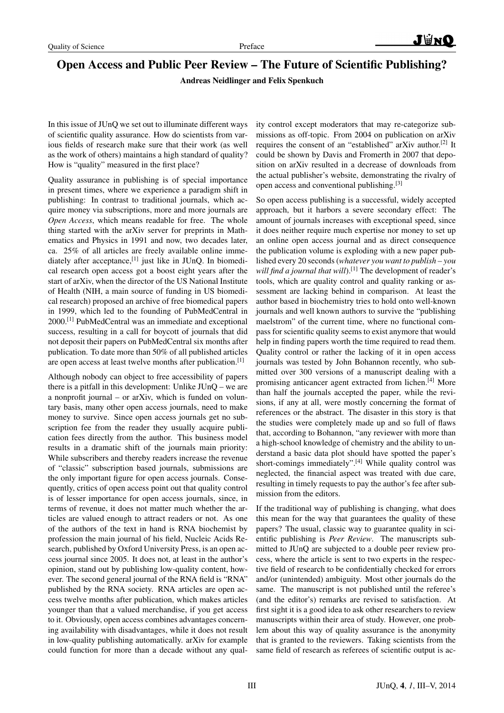## Open Access and Public Peer Review – The Future of Scientific Publishing?

Andreas Neidlinger and Felix Spenkuch

In this issue of JUnQ we set out to illuminate different ways of scientific quality assurance. How do scientists from various fields of research make sure that their work (as well as the work of others) maintains a high standard of quality? How is "quality" measured in the first place?

Quality assurance in publishing is of special importance in present times, where we experience a paradigm shift in publishing: In contrast to traditional journals, which acquire money via subscriptions, more and more journals are *Open Access*, which means readable for free. The whole thing started with the arXiv server for preprints in Mathematics and Physics in 1991 and now, two decades later, ca. 25% of all articles are freely available online immediately after acceptance,<sup>[1]</sup> just like in JUnQ. In biomedical research open access got a boost eight years after the start of arXiv, when the director of the US National Institute of Health (NIH, a main source of funding in US biomedical research) proposed an archive of free biomedical papers in 1999, which led to the founding of PubMedCentral in 2000.[1] PubMedCentral was an immediate and exceptional success, resulting in a call for boycott of journals that did not deposit their papers on PubMedCentral six months after publication. To date more than 50% of all published articles are open access at least twelve months after publication.<sup>[1]</sup>

Although nobody can object to free accessibility of papers there is a pitfall in this development: Unlike JUnQ – we are a nonprofit journal – or arXiv, which is funded on voluntary basis, many other open access journals, need to make money to survive. Since open access journals get no subscription fee from the reader they usually acquire publication fees directly from the author. This business model results in a dramatic shift of the journals main priority: While subscribers and thereby readers increase the revenue of "classic" subscription based journals, submissions are the only important figure for open access journals. Consequently, critics of open access point out that quality control is of lesser importance for open access journals, since, in terms of revenue, it does not matter much whether the articles are valued enough to attract readers or not. As one of the authors of the text in hand is RNA biochemist by profession the main journal of his field, Nucleic Acids Research, published by Oxford University Press, is an open access journal since 2005. It does not, at least in the author's opinion, stand out by publishing low-quality content, however. The second general journal of the RNA field is "RNA" published by the RNA society. RNA articles are open access twelve months after publication, which makes articles younger than that a valued merchandise, if you get access to it. Obviously, open access combines advantages concerning availability with disadvantages, while it does not result in low-quality publishing automatically. arXiv for example could function for more than a decade without any quality control except moderators that may re-categorize submissions as off-topic. From 2004 on publication on arXiv requires the consent of an "established" arXiv author.<sup>[2]</sup> It could be shown by Davis and Fromerth in 2007 that deposition on arXiv resulted in a decrease of downloads from the actual publisher's website, demonstrating the rivalry of open access and conventional publishing.[3]

So open access publishing is a successful, widely accepted approach, but it harbors a severe secondary effect: The amount of journals increases with exceptional speed, since it does neither require much expertise nor money to set up an online open access journal and as direct consequence the publication volume is exploding with a new paper published every 20 seconds (*whatever you want to publish – you will find a journal that will*).<sup>[1]</sup> The development of reader's tools, which are quality control and quality ranking or assessment are lacking behind in comparison. At least the author based in biochemistry tries to hold onto well-known journals and well known authors to survive the "publishing maelstrom" of the current time, where no functional compass for scientific quality seems to exist anymore that would help in finding papers worth the time required to read them. Quality control or rather the lacking of it in open access journals was tested by John Bohannon recently, who submitted over 300 versions of a manuscript dealing with a promising anticancer agent extracted from lichen.<sup>[4]</sup> More than half the journals accepted the paper, while the revisions, if any at all, were mostly concerning the format of references or the abstract. The disaster in this story is that the studies were completely made up and so full of flaws that, according to Bohannon, "any reviewer with more than a high-school knowledge of chemistry and the ability to understand a basic data plot should have spotted the paper's short-comings immediately".[4] While quality control was neglected, the financial aspect was treated with due care, resulting in timely requests to pay the author's fee after submission from the editors.

If the traditional way of publishing is changing, what does this mean for the way that guarantees the quality of these papers? The usual, classic way to guarantee quality in scientific publishing is *Peer Review*. The manuscripts submitted to JUnQ are subjected to a double peer review process, where the article is sent to two experts in the respective field of research to be confidentially checked for errors and/or (unintended) ambiguity. Most other journals do the same. The manuscript is not published until the referee's (and the editor's) remarks are revised to satisfaction. At first sight it is a good idea to ask other researchers to review manuscripts within their area of study. However, one problem about this way of quality assurance is the anonymity that is granted to the reviewers. Taking scientists from the same field of research as referees of scientific output is ac-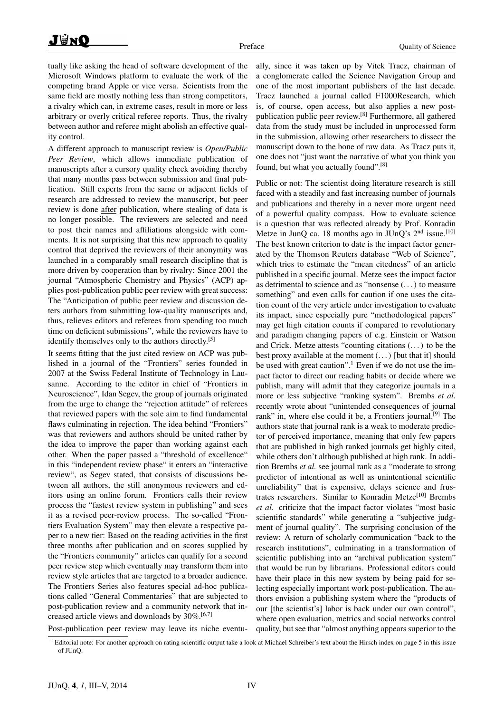tually like asking the head of software development of the Microsoft Windows platform to evaluate the work of the competing brand Apple or vice versa. Scientists from the same field are mostly nothing less than strong competitors, a rivalry which can, in extreme cases, result in more or less arbitrary or overly critical referee reports. Thus, the rivalry between author and referee might abolish an effective quality control.

A different approach to manuscript review is *Open/Public Peer Review*, which allows immediate publication of manuscripts after a cursory quality check avoiding thereby that many months pass between submission and final publication. Still experts from the same or adjacent fields of research are addressed to review the manuscript, but peer review is done after publication, where stealing of data is no longer possible. The reviewers are selected and need to post their names and affiliations alongside with comments. It is not surprising that this new approach to quality control that deprived the reviewers of their anonymity was launched in a comparably small research discipline that is more driven by cooperation than by rivalry: Since 2001 the journal "Atmospheric Chemistry and Physics" (ACP) applies post-publication public peer review with great success: The "Anticipation of public peer review and discussion deters authors from submitting low-quality manuscripts and, thus, relieves editors and referees from spending too much time on deficient submissions", while the reviewers have to identify themselves only to the authors directly.<sup>[5]</sup>

It seems fitting that the just cited review on ACP was published in a journal of the "Frontiers" series founded in 2007 at the Swiss Federal Institute of Technology in Lausanne. According to the editor in chief of "Frontiers in Neuroscience", Idan Segev, the group of journals originated from the urge to change the "rejection attitude" of referees that reviewed papers with the sole aim to find fundamental flaws culminating in rejection. The idea behind "Frontiers" was that reviewers and authors should be united rather by the idea to improve the paper than working against each other. When the paper passed a "threshold of excellence" in this "independent review phase" it enters an "interactive review", as Segev stated, that consists of discussions between all authors, the still anonymous reviewers and editors using an online forum. Frontiers calls their review process the "fastest review system in publishing" and sees it as a revised peer-review process. The so-called "Frontiers Evaluation System" may then elevate a respective paper to a new tier: Based on the reading activities in the first three months after publication and on scores supplied by the "Frontiers community" articles can qualify for a second peer review step which eventually may transform them into review style articles that are targeted to a broader audience. The Frontiers Series also features special ad-hoc publications called "General Commentaries" that are subjected to post-publication review and a community network that increased article views and downloads by 30%.<sup>[6,7]</sup>

ally, since it was taken up by Vitek Tracz, chairman of a conglomerate called the Science Navigation Group and one of the most important publishers of the last decade. Tracz launched a journal called F1000Research, which is, of course, open access, but also applies a new postpublication public peer review.[8] Furthermore, all gathered data from the study must be included in unprocessed form in the submission, allowing other researchers to dissect the manuscript down to the bone of raw data. As Tracz puts it, one does not "just want the narrative of what you think you found, but what you actually found".[8]

Public or not: The scientist doing literature research is still faced with a steadily and fast increasing number of journals and publications and thereby in a never more urgent need of a powerful quality compass. How to evaluate science is a question that was reflected already by Prof. Konradin Metze in JunQ ca. 18 months ago in JUnQ's 2<sup>nd</sup> issue.<sup>[10]</sup> The best known criterion to date is the impact factor generated by the Thomson Reuters database "Web of Science", which tries to estimate the "mean citedness" of an article published in a specific journal. Metze sees the impact factor as detrimental to science and as "nonsense (. . . ) to measure something" and even calls for caution if one uses the citation count of the very article under investigation to evaluate its impact, since especially pure "methodological papers" may get high citation counts if compared to revolutionary and paradigm changing papers of e.g. Einstein or Watson and Crick. Metze attests "counting citations (. . . ) to be the best proxy available at the moment  $(\dots)$  [but that it] should be used with great caution".<sup>1</sup> Even if we do not use the impact factor to direct our reading habits or decide where we publish, many will admit that they categorize journals in a more or less subjective "ranking system". Brembs *et al.* recently wrote about "unintended consequences of journal rank" in, where else could it be, a Frontiers journal.<sup>[9]</sup> The authors state that journal rank is a weak to moderate predictor of perceived importance, meaning that only few papers that are published in high ranked journals get highly cited, while others don't although published at high rank. In addition Brembs *et al.* see journal rank as a "moderate to strong predictor of intentional as well as unintentional scientific unreliability" that is expensive, delays science and frustrates researchers. Similar to Konradin Metze<sup>[10]</sup> Brembs *et al.* criticize that the impact factor violates "most basic scientific standards" while generating a "subjective judgment of journal quality". The surprising conclusion of the review: A return of scholarly communication "back to the research institutions", culminating in a transformation of scientific publishing into an "archival publication system" that would be run by librarians. Professional editors could have their place in this new system by being paid for selecting especially important work post-publication. The authors envision a publishing system where the "products of our [the scientist's] labor is back under our own control", where open evaluation, metrics and social networks control quality, but see that "almost anything appears superior to the

Post-publication peer review may leave its niche eventu-

<sup>&</sup>lt;sup>1</sup>Editorial note: For another approach on rating scientific output take a look at Michael Schreiber's text about the Hirsch index on page 5 in this issue of JUnQ.